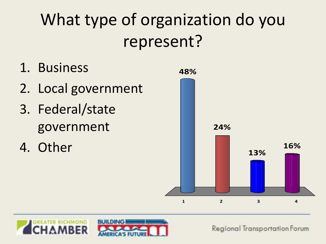# What type of organization do you represent?

- 1. Business
- 2. Local government
- 3. Federal/state government
- 4. Other



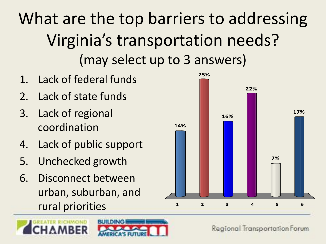What are the top barriers to addressing Virginia's transportation needs? (may select up to 3 answers)

- 1. Lack of federal funds
- 2. Lack of state funds
- 3. Lack of regional coordination
- 4. Lack of public support
- 5. Unchecked growth
- 6. Disconnect between urban, suburban, and rural priorities





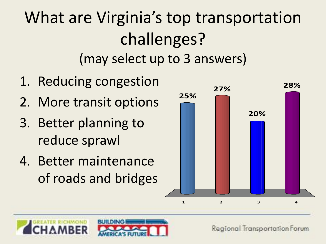What are Virginia's top transportation challenges? (may select up to 3 answers)

- 1. Reducing congestion
- 2. More transit options
- 3. Better planning to reduce sprawl
- 4. Better maintenance of roads and bridges



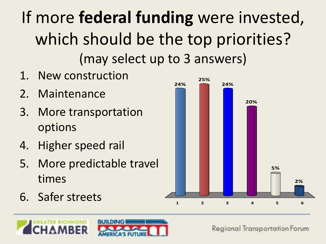If more **federal funding** were invested, which should be the top priorities? (may select up to 3 answers)

- 1. New construction
- 2. Maintenance
- 3. More transportation options
- 4. Higher speed rail
- 5. More predictable travel times
- 6. Safer streets



**25%**

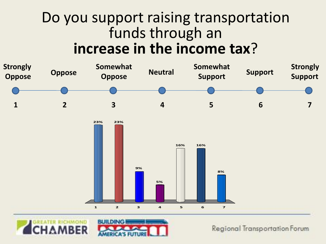### Do you support raising transportation funds through an **increase in the income tax**?



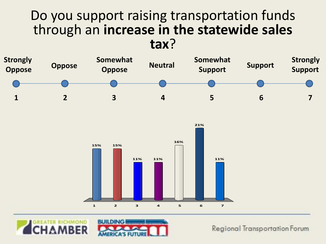#### Do you support raising transportation funds through an **increase in the statewide sales tax**?







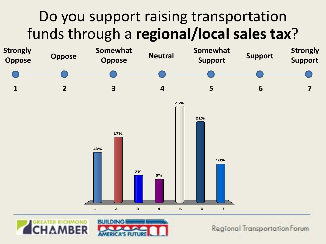### Do you support raising transportation funds through a **regional/local sales tax**?



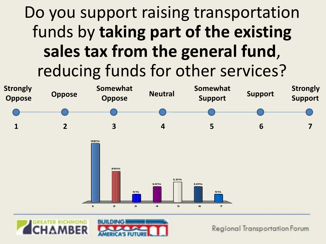## Do you support raising transportation funds by **taking part of the existing sales tax from the general fund**, reducing funds for other services?



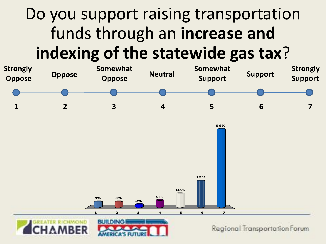## Do you support raising transportation funds through an **increase and indexing of the statewide gas tax**?

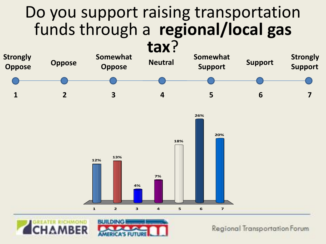## Do you support raising transportation funds through a **regional/local gas**





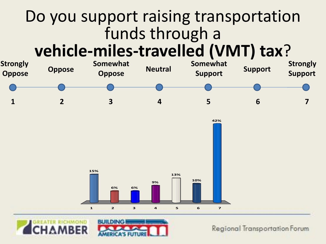### Do you support raising transportation funds through a **vehicle-miles-travelled (VMT) tax**?



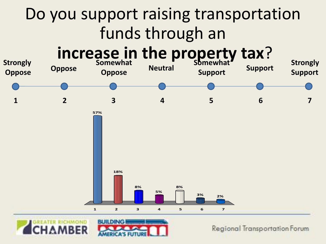



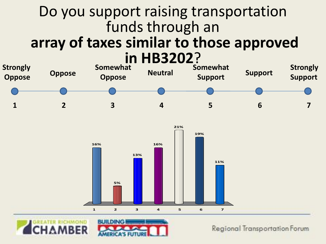#### Do you support raising transportation funds through an **array of taxes similar to those approved in HB3202**?







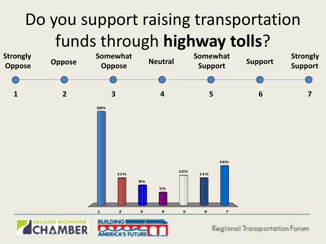# Do you support raising transportation funds through **highway tolls**?

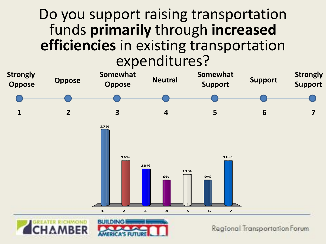#### Do you support raising transportation funds **primarily** through **increased efficiencies** in existing transportation expenditures?

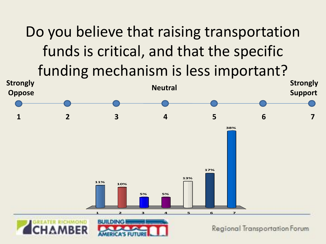Do you believe that raising transportation funds is critical, and that the specific funding mechanism is less important?